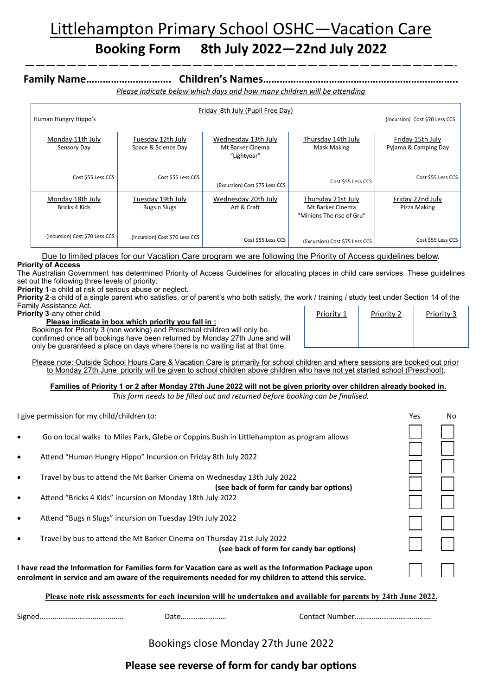# Littlehampton Primary School OSHC—Vacation Care

# **Booking Form 8th July 2022—22nd July 2022** —————————————————————————————————————————-

## **Family Name…………………………. Children's Names……………………………………………………………..**

*Please indicate below which days and how many children will be attending*

| Friday 8th July (Pupil Free Day)  |                                          |                                                        |                                                                     |                                          |  |  |  |
|-----------------------------------|------------------------------------------|--------------------------------------------------------|---------------------------------------------------------------------|------------------------------------------|--|--|--|
| Human Hungry Hippo's              | (Incursion) Cost \$70 Less CCS           |                                                        |                                                                     |                                          |  |  |  |
| Monday 11th July<br>Sensory Day   | Tuesday 12th July<br>Space & Science Day | Wednesday 13th July<br>Mt Barker Cinema<br>"Lightyear" | Thursday 14th July<br><b>Mask Making</b>                            | Friday 15th July<br>Pyjama & Camping Day |  |  |  |
| Cost \$55 Less CCS                | Cost \$55 Less CCS                       | (Excursion) Cost \$75 Less CCS                         | Cost \$55 Less CCS                                                  | Cost \$55 Less CCS                       |  |  |  |
| Monday 18th July<br>Bricks 4 Kids | Tuesday 19th July<br>Bugs n Slugs        | Wednesday 20th July<br>Art & Craft                     | Thursday 21st July<br>Mt Barker Cinema<br>"Minions The rise of Gru" | Friday 22nd July<br>Pizza Making         |  |  |  |
| (Incursion) Cost \$70 Less CCS    | (Incursion) Cost \$70 Less CCS           | Cost \$55 Less CCS                                     | (Excursion) Cost \$75 Less CCS                                      | Cost \$55 Less CCS                       |  |  |  |

Due to limited places for our Vacation Care program we are following the Priority of Access guidelines below. **Priority of Access**

The Australian Government has determined Priority of Access Guidelines for allocating places in child care services. These guidelines set out the following three levels of priority:

**Priority 1**-a child at risk of serious abuse or neglect.

**Priority 2**-a child of a single parent who satisfies, or of parent's who both satisfy, the work / training / study test under Section 14 of the Family Assistance Act. Priority 1 | Priority 2 | Priority 3

**Priority 3**-any other child

**Please indicate in box which priority you fall in :**

Bookings for Priority 3 (non working) and Preschool children will only be confirmed once all bookings have been returned by Monday 27th June and will only be guaranteed a place on days where there is no waiting list at that time.

Please note: Outside School Hours Care & Vacation Care is primarily for school children and where sessions are booked out prior to Monday 27th June priority will be given to school children above children who have not yet started school (Preschool).

**Families of Priority 1 or 2 after Monday 27th June 2022 will not be given priority over children already booked in.**

*This form needs to be filled out and returned before booking can be finalised.* 

| I give permission for my child/children to:                                                                                                                                                                     |                                                                                                                      | Yes | No |  |
|-----------------------------------------------------------------------------------------------------------------------------------------------------------------------------------------------------------------|----------------------------------------------------------------------------------------------------------------------|-----|----|--|
| $\bullet$                                                                                                                                                                                                       | Go on local walks to Miles Park, Glebe or Coppins Bush in Littlehampton as program allows                            |     |    |  |
| $\bullet$                                                                                                                                                                                                       | Attend "Human Hungry Hippo" Incursion on Friday 8th July 2022                                                        |     |    |  |
| $\bullet$                                                                                                                                                                                                       | Travel by bus to attend the Mt Barker Cinema on Wednesday 13th July 2022<br>(see back of form for candy bar options) |     |    |  |
| $\bullet$                                                                                                                                                                                                       | Attend "Bricks 4 Kids" incursion on Monday 18th July 2022                                                            |     |    |  |
| $\bullet$                                                                                                                                                                                                       | Attend "Bugs n Slugs" incursion on Tuesday 19th July 2022                                                            |     |    |  |
| $\bullet$                                                                                                                                                                                                       | Travel by bus to attend the Mt Barker Cinema on Thursday 21st July 2022<br>(see back of form for candy bar options)  |     |    |  |
| I have read the Information for Families form for Vacation care as well as the Information Package upon<br>enrolment in service and am aware of the requirements needed for my children to attend this service. |                                                                                                                      |     |    |  |
| Please note risk assessments for each incursion will be undertaken and available for parents by 24th June 2022.                                                                                                 |                                                                                                                      |     |    |  |

Bookings close Monday 27th June 2022

Signed…………………………………….. Date…………………… Contact Number………………………………….

## **Please see reverse of form for candy bar options**